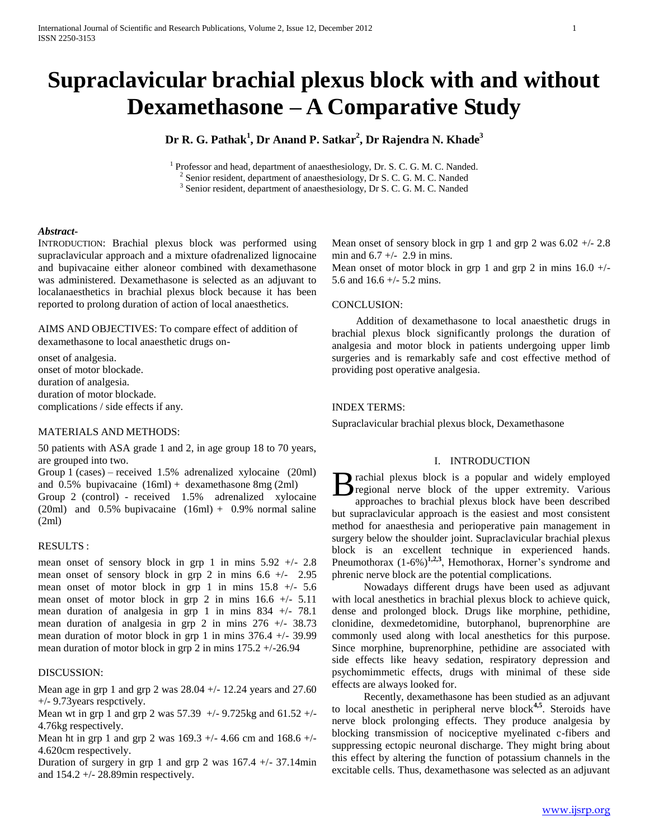# **Supraclavicular brachial plexus block with and without Dexamethasone – A Comparative Study**

# **Dr R. G. Pathak<sup>1</sup> , Dr Anand P. Satkar<sup>2</sup> , Dr Rajendra N. Khade<sup>3</sup>**

<sup>1</sup> Professor and head, department of anaesthesiology, Dr. S. C. G. M. C. Nanded.

<sup>2</sup> Senior resident, department of anaesthesiology, Dr S. C. G. M. C. Nanded

<sup>3</sup> Senior resident, department of anaesthesiology, Dr S. C. G. M. C. Nanded

#### *Abstract***-**

INTRODUCTION: Brachial plexus block was performed using supraclavicular approach and a mixture ofadrenalized lignocaine and bupivacaine either aloneor combined with dexamethasone was administered. Dexamethasone is selected as an adjuvant to localanaesthetics in brachial plexus block because it has been reported to prolong duration of action of local anaesthetics.

AIMS AND OBJECTIVES: To compare effect of addition of dexamethasone to local anaesthetic drugs on-

onset of analgesia. onset of motor blockade. duration of analgesia. duration of motor blockade. complications / side effects if any.

## MATERIALS AND METHODS:

50 patients with ASA grade 1 and 2, in age group 18 to 70 years, are grouped into two.

Group 1 (cases) – received 1.5% adrenalized xylocaine (20ml) and 0.5% bupivacaine (16ml) + dexamethasone 8mg (2ml) Group 2 (control) - received 1.5% adrenalized xylocaine  $(20m)$  and  $0.5\%$  bupivacaine  $(16m) + 0.9\%$  normal saline (2ml)

### RESULTS :

mean onset of sensory block in grp 1 in mins  $5.92 +/- 2.8$ mean onset of sensory block in grp 2 in mins 6.6 +/- 2.95 mean onset of motor block in grp 1 in mins  $15.8 +/- 5.6$ mean onset of motor block in grp 2 in mins  $16.6 +/- 5.11$ mean duration of analgesia in grp 1 in mins 834 +/- 78.1 mean duration of analgesia in grp 2 in mins  $276 +/- 38.73$ mean duration of motor block in grp 1 in mins 376.4 +/- 39.99 mean duration of motor block in grp 2 in mins 175.2 +/-26.94

#### DISCUSSION:

Mean age in grp 1 and grp 2 was 28.04 +/- 12.24 years and 27.60 +/- 9.73years respctively.

Mean wt in grp 1 and grp 2 was 57.39 +/- 9.725kg and 61.52 +/- 4.76kg respectively.

Mean ht in grp 1 and grp 2 was  $169.3 +/- 4.66$  cm and  $168.6 +/-$ 4.620cm respectively.

Duration of surgery in grp 1 and grp 2 was  $167.4 +/- 37.14$ min and  $154.2 +/- 28.89$  min respectively.

Mean onset of sensory block in grp 1 and grp 2 was  $6.02 +1$  - 2.8 min and  $6.7 +/- 2.9$  in mins.

Mean onset of motor block in grp 1 and grp 2 in mins  $16.0 +/-$ 5.6 and 16.6 +/- 5.2 mins.

#### CONCLUSION:

 Addition of dexamethasone to local anaesthetic drugs in brachial plexus block significantly prolongs the duration of analgesia and motor block in patients undergoing upper limb surgeries and is remarkably safe and cost effective method of providing post operative analgesia.

#### INDEX TERMS:

Supraclavicular brachial plexus block, Dexamethasone

## I. INTRODUCTION

B rachial plexus block is a popular and widely employed<br>regional nerve block of the upper extremity. Various<br>approaches to brachial pleyus block have been described regional nerve block of the upper extremity. Various approaches to brachial plexus block have been described but supraclavicular approach is the easiest and most consistent method for anaesthesia and perioperative pain management in surgery below the shoulder joint. Supraclavicular brachial plexus block is an excellent technique in experienced hands. Pneumothorax  $(1-6\%)^{1,2,3}$ , Hemothorax, Horner's syndrome and phrenic nerve block are the potential complications.

 Nowadays different drugs have been used as adjuvant with local anesthetics in brachial plexus block to achieve quick, dense and prolonged block. Drugs like morphine, pethidine, clonidine, dexmedetomidine, butorphanol, buprenorphine are commonly used along with local anesthetics for this purpose. Since morphine, buprenorphine, pethidine are associated with side effects like heavy sedation, respiratory depression and psychomimmetic effects, drugs with minimal of these side effects are always looked for.

 Recently, dexamethasone has been studied as an adjuvant to local anesthetic in peripheral nerve block**4,5**. Steroids have nerve block prolonging effects. They produce analgesia by blocking transmission of nociceptive myelinated c-fibers and suppressing ectopic neuronal discharge. They might bring about this effect by altering the function of potassium channels in the excitable cells. Thus, dexamethasone was selected as an adjuvant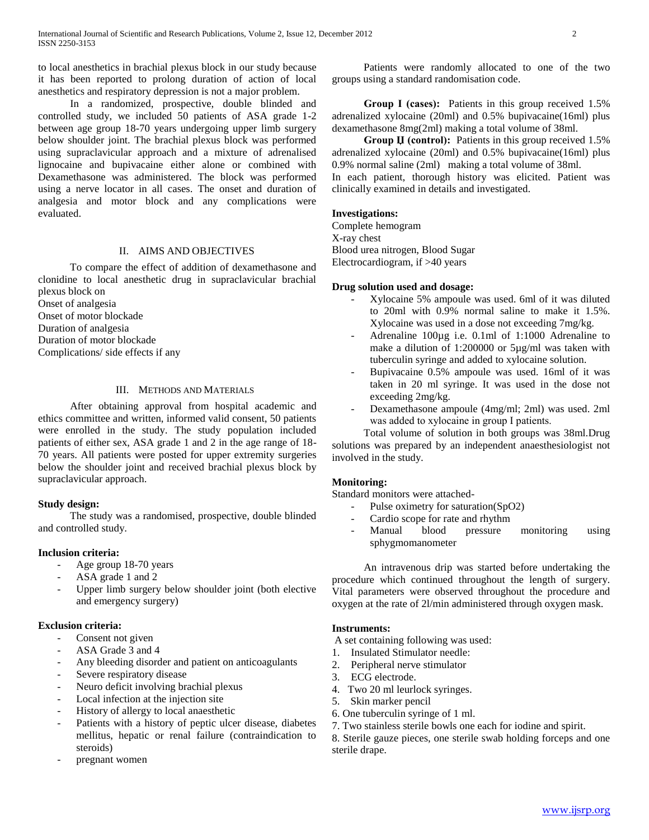to local anesthetics in brachial plexus block in our study because it has been reported to prolong duration of action of local anesthetics and respiratory depression is not a major problem.

 In a randomized, prospective, double blinded and controlled study, we included 50 patients of ASA grade 1-2 between age group 18-70 years undergoing upper limb surgery below shoulder joint. The brachial plexus block was performed using supraclavicular approach and a mixture of adrenalised lignocaine and bupivacaine either alone or combined with Dexamethasone was administered. The block was performed using a nerve locator in all cases. The onset and duration of analgesia and motor block and any complications were evaluated.

# II. AIMS AND OBJECTIVES

 To compare the effect of addition of dexamethasone and clonidine to local anesthetic drug in supraclavicular brachial plexus block on

Onset of analgesia

Onset of motor blockade

Duration of analgesia

Duration of motor blockade

Complications/ side effects if any

### III. METHODS AND MATERIALS

 After obtaining approval from hospital academic and ethics committee and written, informed valid consent, 50 patients were enrolled in the study. The study population included patients of either sex, ASA grade 1 and 2 in the age range of 18- 70 years. All patients were posted for upper extremity surgeries below the shoulder joint and received brachial plexus block by supraclavicular approach.

#### **Study design:**

 The study was a randomised, prospective, double blinded and controlled study.

#### **Inclusion criteria:**

- Age group 18-70 years
- ASA grade 1 and 2
- Upper limb surgery below shoulder joint (both elective and emergency surgery)

#### **Exclusion criteria:**

- Consent not given
- ASA Grade 3 and 4
- Any bleeding disorder and patient on anticoagulants
- Severe respiratory disease
- Neuro deficit involving brachial plexus
- Local infection at the injection site
- History of allergy to local anaesthetic
- Patients with a history of peptic ulcer disease, diabetes mellitus, hepatic or renal failure (contraindication to steroids)
- pregnant women

 Patients were randomly allocated to one of the two groups using a standard randomisation code.

 **Group Ι (cases):** Patients in this group received 1.5% adrenalized xylocaine (20ml) and 0.5% bupivacaine(16ml) plus dexamethasone 8mg(2ml) making a total volume of 38ml.

 **Group Џ (control):** Patients in this group received 1.5% adrenalized xylocaine (20ml) and 0.5% bupivacaine(16ml) plus 0.9% normal saline (2ml) making a total volume of 38ml. In each patient, thorough history was elicited. Patient was clinically examined in details and investigated.

#### **Investigations:**

Complete hemogram X-ray chest Blood urea nitrogen, Blood Sugar Electrocardiogram, if >40 years

## **Drug solution used and dosage:**

- Xylocaine 5% ampoule was used. 6ml of it was diluted to 20ml with 0.9% normal saline to make it 1.5%. Xylocaine was used in a dose not exceeding 7mg/kg.
- Adrenaline 100µg i.e. 0.1ml of 1:1000 Adrenaline to make a dilution of 1:200000 or 5µg/ml was taken with tuberculin syringe and added to xylocaine solution.
- Bupivacaine 0.5% ampoule was used. 16ml of it was taken in 20 ml syringe. It was used in the dose not exceeding 2mg/kg.
- Dexamethasone ampoule (4mg/ml; 2ml) was used. 2ml was added to xylocaine in group I patients.

 Total volume of solution in both groups was 38ml.Drug solutions was prepared by an independent anaesthesiologist not involved in the study.

#### **Monitoring:**

Standard monitors were attached-

- Pulse oximetry for saturation(SpO2)
- Cardio scope for rate and rhythm
- Manual blood pressure monitoring using sphygmomanometer

 An intravenous drip was started before undertaking the procedure which continued throughout the length of surgery. Vital parameters were observed throughout the procedure and oxygen at the rate of 2l/min administered through oxygen mask.

#### **Instruments:**

A set containing following was used:

- 1. Insulated Stimulator needle:
- 2. Peripheral nerve stimulator
- 3. ECG electrode.
- 4. Two 20 ml leurlock syringes.
- 5. Skin marker pencil
- 6. One tuberculin syringe of 1 ml.
- 7. Two stainless sterile bowls one each for iodine and spirit.
- 8. Sterile gauze pieces, one sterile swab holding forceps and one sterile drape.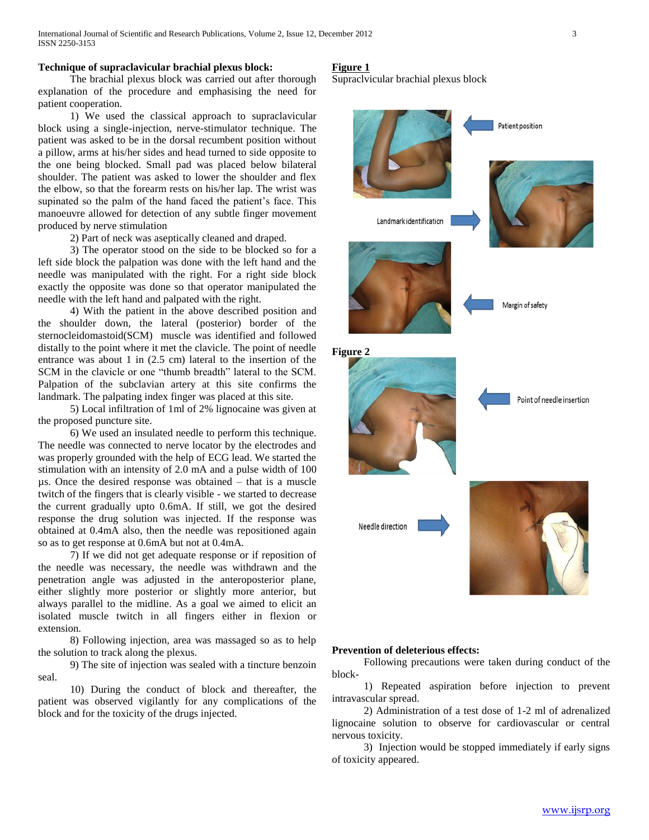#### **Technique of supraclavicular brachial plexus block:**

 The brachial plexus block was carried out after thorough explanation of the procedure and emphasising the need for patient cooperation.

 1) We used the classical approach to supraclavicular block using a single-injection, nerve-stimulator technique. The patient was asked to be in the dorsal recumbent position without a pillow, arms at his/her sides and head turned to side opposite to the one being blocked. Small pad was placed below bilateral shoulder. The patient was asked to lower the shoulder and flex the elbow, so that the forearm rests on his/her lap. The wrist was supinated so the palm of the hand faced the patient's face. This manoeuvre allowed for detection of any subtle finger movement produced by nerve stimulation

2) Part of neck was aseptically cleaned and draped.

 3) The operator stood on the side to be blocked so for a left side block the palpation was done with the left hand and the needle was manipulated with the right. For a right side block exactly the opposite was done so that operator manipulated the needle with the left hand and palpated with the right.

 4) With the patient in the above described position and the shoulder down, the lateral (posterior) border of the sternocleidomastoid(SCM) muscle was identified and followed distally to the point where it met the clavicle. The point of needle entrance was about 1 in (2.5 cm) lateral to the insertion of the SCM in the clavicle or one "thumb breadth" lateral to the SCM. Palpation of the subclavian artery at this site confirms the landmark. The palpating index finger was placed at this site.

 5) Local infiltration of 1ml of 2% lignocaine was given at the proposed puncture site.

 6) We used an insulated needle to perform this technique. The needle was connected to nerve locator by the electrodes and was properly grounded with the help of ECG lead. We started the stimulation with an intensity of 2.0 mA and a pulse width of 100 µs. Once the desired response was obtained – that is a muscle twitch of the fingers that is clearly visible - we started to decrease the current gradually upto 0.6mA. If still, we got the desired response the drug solution was injected. If the response was obtained at 0.4mA also, then the needle was repositioned again so as to get response at 0.6mA but not at 0.4mA.

 7) If we did not get adequate response or if reposition of the needle was necessary, the needle was withdrawn and the penetration angle was adjusted in the anteroposterior plane, either slightly more posterior or slightly more anterior, but always parallel to the midline. As a goal we aimed to elicit an isolated muscle twitch in all fingers either in flexion or extension.

 8) Following injection, area was massaged so as to help the solution to track along the plexus.

 9) The site of injection was sealed with a tincture benzoin seal.

 10) During the conduct of block and thereafter, the patient was observed vigilantly for any complications of the block and for the toxicity of the drugs injected.

#### **Figure 1**

Supraclvicular brachial plexus block



#### **Prevention of deleterious effects:**

 Following precautions were taken during conduct of the block-

 1) Repeated aspiration before injection to prevent intravascular spread.

 2) Administration of a test dose of 1-2 ml of adrenalized lignocaine solution to observe for cardiovascular or central nervous toxicity.

 3) Injection would be stopped immediately if early signs of toxicity appeared.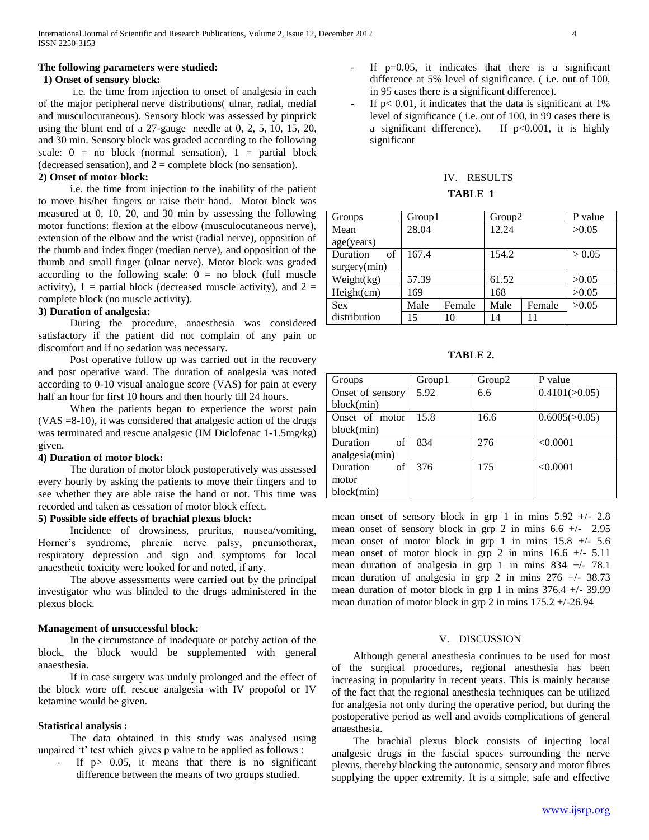# **The following parameters were studied:**

# **1) Onset of sensory block:**

 i.e. the time from injection to onset of analgesia in each of the major peripheral nerve distributions( ulnar, radial, medial and musculocutaneous). Sensory block was assessed by pinprick using the blunt end of a 27-gauge needle at 0, 2, 5, 10, 15, 20, and 30 min. Sensory block was graded according to the following scale:  $0 = no block (normal sensation), 1 = partial block$ (decreased sensation), and  $2 =$  complete block (no sensation).

# **2) Onset of motor block:**

 i.e. the time from injection to the inability of the patient to move his/her fingers or raise their hand. Motor block was measured at 0, 10, 20, and 30 min by assessing the following motor functions: flexion at the elbow (musculocutaneous nerve), extension of the elbow and the wrist (radial nerve), opposition of the thumb and index finger (median nerve), and opposition of the thumb and small finger (ulnar nerve). Motor block was graded according to the following scale:  $0 =$  no block (full muscle activity),  $1 =$  partial block (decreased muscle activity), and  $2 =$ complete block (no muscle activity).

#### **3) Duration of analgesia:**

 During the procedure, anaesthesia was considered satisfactory if the patient did not complain of any pain or discomfort and if no sedation was necessary.

 Post operative follow up was carried out in the recovery and post operative ward. The duration of analgesia was noted according to 0-10 visual analogue score (VAS) for pain at every half an hour for first 10 hours and then hourly till 24 hours.

 When the patients began to experience the worst pain (VAS =8-10), it was considered that analgesic action of the drugs was terminated and rescue analgesic (IM Diclofenac 1-1.5mg/kg) given.

#### **4) Duration of motor block:**

 The duration of motor block postoperatively was assessed every hourly by asking the patients to move their fingers and to see whether they are able raise the hand or not. This time was recorded and taken as cessation of motor block effect.

#### **5) Possible side effects of brachial plexus block:**

 Incidence of drowsiness, pruritus, nausea/vomiting, Horner's syndrome, phrenic nerve palsy, pneumothorax, respiratory depression and sign and symptoms for local anaesthetic toxicity were looked for and noted, if any.

 The above assessments were carried out by the principal investigator who was blinded to the drugs administered in the plexus block.

#### **Management of unsuccessful block:**

 In the circumstance of inadequate or patchy action of the block, the block would be supplemented with general anaesthesia.

 If in case surgery was unduly prolonged and the effect of the block wore off, rescue analgesia with IV propofol or IV ketamine would be given.

#### **Statistical analysis :**

 The data obtained in this study was analysed using unpaired 't' test which gives p value to be applied as follows :

If  $p > 0.05$ , it means that there is no significant difference between the means of two groups studied.

- If  $p=0.05$ , it indicates that there is a significant difference at 5% level of significance. ( i.e. out of 100, in 95 cases there is a significant difference).
- If  $p$ < 0.01, it indicates that the data is significant at 1% level of significance ( i.e. out of 100, in 99 cases there is a significant difference). If  $p<0.001$ , it is highly significant

# IV. RESULTS

# **TABLE 1**

| Groups         | Group1 |        | Group <sub>2</sub> |        | P value |
|----------------|--------|--------|--------------------|--------|---------|
| Mean           | 28.04  |        | 12.24              |        | >0.05   |
| age(years)     |        |        |                    |        |         |
| Duration<br>of | 167.4  |        | 154.2              |        | > 0.05  |
| surgery(min)   |        |        |                    |        |         |
| Weight(kg)     | 57.39  |        | 61.52              |        | >0.05   |
| Height(cm)     | 169    |        | 168                |        | >0.05   |
| <b>Sex</b>     | Male   | Female | Male               | Female | >0.05   |
| distribution   | 15     | 10     | 14                 |        |         |

**TABLE 2.**

| Groups           | Group1 | Group <sub>2</sub> | P value       |
|------------------|--------|--------------------|---------------|
| Onset of sensory | 5.92   | 6.6                | 0.4101(>0.05) |
| block(min)       |        |                    |               |
| Onset of motor   | 15.8   | 16.6               | 0.6005(>0.05) |
| block(min)       |        |                    |               |
| Duration<br>οf   | 834    | 276                | < 0.0001      |
| analgesia(min)   |        |                    |               |
| Duration<br>of   | 376    | 175                | < 0.0001      |
| motor            |        |                    |               |
| block(min)       |        |                    |               |

mean onset of sensory block in grp 1 in mins  $5.92 +/- 2.8$ mean onset of sensory block in grp 2 in mins  $6.6 +/- 2.95$ mean onset of motor block in grp 1 in mins 15.8 +/- 5.6 mean onset of motor block in grp 2 in mins  $16.6 +/- 5.11$ mean duration of analgesia in grp 1 in mins  $834 +/- 78.1$ mean duration of analgesia in grp 2 in mins 276 +/- 38.73 mean duration of motor block in grp 1 in mins 376.4 +/- 39.99 mean duration of motor block in grp 2 in mins 175.2 +/-26.94

#### V. DISCUSSION

 Although general anesthesia continues to be used for most of the surgical procedures, regional anesthesia has been increasing in popularity in recent years. This is mainly because of the fact that the regional anesthesia techniques can be utilized for analgesia not only during the operative period, but during the postoperative period as well and avoids complications of general anaesthesia.

 The brachial plexus block consists of injecting local analgesic drugs in the fascial spaces surrounding the nerve plexus, thereby blocking the autonomic, sensory and motor fibres supplying the upper extremity. It is a simple, safe and effective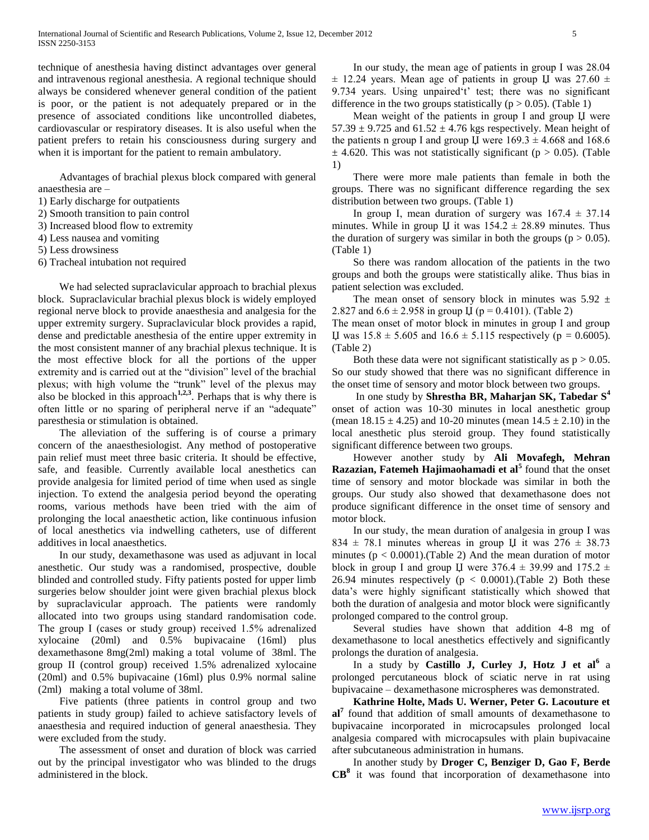technique of anesthesia having distinct advantages over general and intravenous regional anesthesia. A regional technique should always be considered whenever general condition of the patient is poor, or the patient is not adequately prepared or in the presence of associated conditions like uncontrolled diabetes, cardiovascular or respiratory diseases. It is also useful when the patient prefers to retain his consciousness during surgery and when it is important for the patient to remain ambulatory.

 Advantages of brachial plexus block compared with general anaesthesia are –

- 1) Early discharge for outpatients
- 2) Smooth transition to pain control
- 3) Increased blood flow to extremity
- 4) Less nausea and vomiting
- 5) Less drowsiness
- 6) Tracheal intubation not required

 We had selected supraclavicular approach to brachial plexus block. Supraclavicular brachial plexus block is widely employed regional nerve block to provide anaesthesia and analgesia for the upper extremity surgery. Supraclavicular block provides a rapid, dense and predictable anesthesia of the entire upper extremity in the most consistent manner of any brachial plexus technique. It is the most effective block for all the portions of the upper extremity and is carried out at the "division" level of the brachial plexus; with high volume the "trunk" level of the plexus may also be blocked in this approach<sup>1,2,3</sup>. Perhaps that is why there is often little or no sparing of peripheral nerve if an "adequate" paresthesia or stimulation is obtained.

 The alleviation of the suffering is of course a primary concern of the anaesthesiologist. Any method of postoperative pain relief must meet three basic criteria. It should be effective, safe, and feasible. Currently available local anesthetics can provide analgesia for limited period of time when used as single injection. To extend the analgesia period beyond the operating rooms, various methods have been tried with the aim of prolonging the local anaesthetic action, like continuous infusion of local anesthetics via indwelling catheters, use of different additives in local anaesthetics.

 In our study, dexamethasone was used as adjuvant in local anesthetic. Our study was a randomised, prospective, double blinded and controlled study. Fifty patients posted for upper limb surgeries below shoulder joint were given brachial plexus block by supraclavicular approach. The patients were randomly allocated into two groups using standard randomisation code. The group Ι (cases or study group) received 1.5% adrenalized xylocaine (20ml) and 0.5% bupivacaine (16ml) plus dexamethasone 8mg(2ml) making a total volume of 38ml. The group II (control group) received 1.5% adrenalized xylocaine (20ml) and 0.5% bupivacaine (16ml) plus 0.9% normal saline (2ml) making a total volume of 38ml.

 Five patients (three patients in control group and two patients in study group) failed to achieve satisfactory levels of anaesthesia and required induction of general anaesthesia. They were excluded from the study.

 The assessment of onset and duration of block was carried out by the principal investigator who was blinded to the drugs administered in the block.

 In our study, the mean age of patients in group Ι was 28.04  $\pm$  12.24 years. Mean age of patients in group U was 27.60  $\pm$ 9.734 years. Using unpaired't' test; there was no significant difference in the two groups statistically ( $p > 0.05$ ). (Table 1)

 Mean weight of the patients in group Ι and group Џ were  $57.39 \pm 9.725$  and  $61.52 \pm 4.76$  kgs respectively. Mean height of the patients n group I and group Џ were  $169.3 \pm 4.668$  and  $168.6$  $\pm$  4.620. This was not statistically significant (p > 0.05). (Table 1)

 There were more male patients than female in both the groups. There was no significant difference regarding the sex distribution between two groups. (Table 1)

In group I, mean duration of surgery was  $167.4 \pm 37.14$ minutes. While in group  $\mu$  it was 154.2  $\pm$  28.89 minutes. Thus the duration of surgery was similar in both the groups ( $p > 0.05$ ). (Table 1)

 So there was random allocation of the patients in the two groups and both the groups were statistically alike. Thus bias in patient selection was excluded.

The mean onset of sensory block in minutes was  $5.92 \pm$ 2.827 and  $6.6 \pm 2.958$  in group  $\mu$  (p = 0.4101). (Table 2) The mean onset of motor block in minutes in group I and group

U was  $15.8 \pm 5.605$  and  $16.6 \pm 5.115$  respectively (p = 0.6005). (Table 2)

Both these data were not significant statistically as  $p > 0.05$ . So our study showed that there was no significant difference in the onset time of sensory and motor block between two groups.

 In one study by **Shrestha BR, Maharjan SK, Tabedar S<sup>4</sup>** onset of action was 10-30 minutes in local anesthetic group (mean  $18.15 \pm 4.25$ ) and 10-20 minutes (mean  $14.5 \pm 2.10$ ) in the local anesthetic plus steroid group. They found statistically significant difference between two groups.

 However another study by **Ali Movafegh, Mehran Razazian, Fatemeh Hajimaohamadi et al<sup>5</sup>** found that the onset time of sensory and motor blockade was similar in both the groups. Our study also showed that dexamethasone does not produce significant difference in the onset time of sensory and motor block.

 In our study, the mean duration of analgesia in group Ι was 834  $\pm$  78.1 minutes whereas in group U it was 276  $\pm$  38.73 minutes  $(p < 0.0001)$ . (Table 2) And the mean duration of motor block in group I and group Џ were  $376.4 \pm 39.99$  and  $175.2 \pm 1$ 26.94 minutes respectively ( $p < 0.0001$ ). (Table 2) Both these data's were highly significant statistically which showed that both the duration of analgesia and motor block were significantly prolonged compared to the control group.

 Several studies have shown that addition 4-8 mg of dexamethasone to local anesthetics effectively and significantly prolongs the duration of analgesia.

In a study by **Castillo J, Curley J, Hotz J et al**<sup>6</sup> a prolonged percutaneous block of sciatic nerve in rat using bupivacaine – dexamethasone microspheres was demonstrated.

 **Kathrine Holte, Mads U. Werner, Peter G. Lacouture et al7** found that addition of small amounts of dexamethasone to bupivacaine incorporated in microcapsules prolonged local analgesia compared with microcapsules with plain bupivacaine after subcutaneous administration in humans.

 In another study by **Droger C, Benziger D, Gao F, Berde CB<sup>8</sup>** it was found that incorporation of dexamethasone into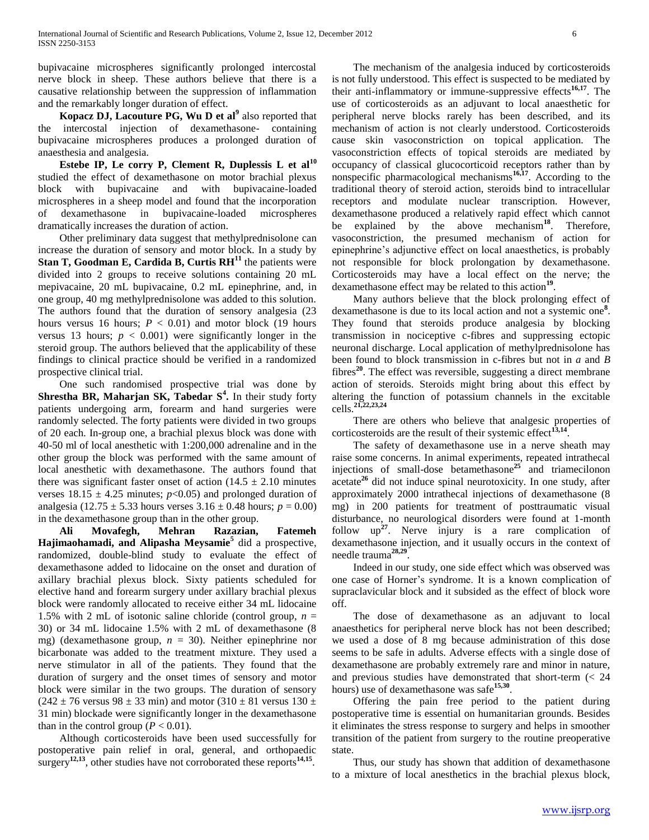bupivacaine microspheres significantly prolonged intercostal nerve block in sheep. These authors believe that there is a causative relationship between the suppression of inflammation and the remarkably longer duration of effect.

 **Kopacz DJ, Lacouture PG, Wu D et al<sup>9</sup>** also reported that the intercostal injection of dexamethasone- containing bupivacaine microspheres produces a prolonged duration of anaesthesia and analgesia.

 **Estebe IP, Le corry P, Clement R, Duplessis L et al<sup>10</sup>** studied the effect of dexamethasone on motor brachial plexus block with bupivacaine and with bupivacaine-loaded microspheres in a sheep model and found that the incorporation of dexamethasone in bupivacaine-loaded microspheres dramatically increases the duration of action.

 Other preliminary data suggest that methylprednisolone can increase the duration of sensory and motor block. In a study by **Stan T, Goodman E, Cardida B, Curtis RH<sup>11</sup>** the patients were divided into 2 groups to receive solutions containing 20 mL mepivacaine, 20 mL bupivacaine, 0.2 mL epinephrine, and, in one group, 40 mg methylprednisolone was added to this solution. The authors found that the duration of sensory analgesia (23 hours versus 16 hours;  $P < 0.01$ ) and motor block (19 hours versus 13 hours;  $p < 0.001$ ) were significantly longer in the steroid group. The authors believed that the applicability of these findings to clinical practice should be verified in a randomized prospective clinical trial.

 One such randomised prospective trial was done by **Shrestha BR, Maharjan SK, Tabedar S<sup>4</sup> .** In their study forty patients undergoing arm, forearm and hand surgeries were randomly selected. The forty patients were divided in two groups of 20 each. In-group one, a brachial plexus block was done with 40-50 ml of local anesthetic with 1:200,000 adrenaline and in the other group the block was performed with the same amount of local anesthetic with dexamethasone. The authors found that there was significant faster onset of action  $(14.5 \pm 2.10 \text{ minutes})$ verses  $18.15 \pm 4.25$  minutes;  $p<0.05$ ) and prolonged duration of analgesia (12.75  $\pm$  5.33 hours verses 3.16  $\pm$  0.48 hours; *p* = 0.00) in the dexamethasone group than in the other group.

 **Ali Movafegh, Mehran Razazian, Fatemeh Hajimaohamadi, and Alipasha Meysamie<sup>5</sup>** did a prospective, randomized, double-blind study to evaluate the effect of dexamethasone added to lidocaine on the onset and duration of axillary brachial plexus block. Sixty patients scheduled for elective hand and forearm surgery under axillary brachial plexus block were randomly allocated to receive either 34 mL lidocaine 1.5% with 2 mL of isotonic saline chloride (control group, *n* = 30) or 34 mL lidocaine 1.5% with 2 mL of dexamethasone (8 mg) (dexamethasone group, *n* = 30). Neither epinephrine nor bicarbonate was added to the treatment mixture. They used a nerve stimulator in all of the patients. They found that the duration of surgery and the onset times of sensory and motor block were similar in the two groups. The duration of sensory  $(242 \pm 76 \text{ versus } 98 \pm 33 \text{ min})$  and motor  $(310 \pm 81 \text{ versus } 130 \pm 13)$ 31 min) blockade were significantly longer in the dexamethasone than in the control group ( $P < 0.01$ ).

 Although corticosteroids have been used successfully for postoperative pain relief in oral, general, and orthopaedic surgery<sup>12,13</sup>, other studies have not corroborated these reports<sup>14,15</sup>.

 The mechanism of the analgesia induced by corticosteroids is not fully understood. This effect is suspected to be mediated by their anti-inflammatory or immune-suppressive effects**16,17**. The use of corticosteroids as an adjuvant to local anaesthetic for peripheral nerve blocks rarely has been described, and its mechanism of action is not clearly understood. Corticosteroids cause skin vasoconstriction on topical application. The vasoconstriction effects of topical steroids are mediated by occupancy of classical glucocorticoid receptors rather than by nonspecific pharmacological mechanisms**16,17**. According to the traditional theory of steroid action, steroids bind to intracellular receptors and modulate nuclear transcription. However, dexamethasone produced a relatively rapid effect which cannot be explained by the above mechanism**<sup>18</sup>**. Therefore, vasoconstriction, the presumed mechanism of action for epinephrine's adjunctive effect on local anaesthetics, is probably not responsible for block prolongation by dexamethasone. Corticosteroids may have a local effect on the nerve; the dexamethasone effect may be related to this action<sup>19</sup>.

 Many authors believe that the block prolonging effect of dexamethasone is due to its local action and not a systemic one**<sup>8</sup>** . They found that steroids produce analgesia by blocking transmission in nociceptive c-fibres and suppressing ectopic neuronal discharge. Local application of methylprednisolone has been found to block transmission in c-fibres but not in *a* and *B*  fibres**<sup>20</sup>**. The effect was reversible, suggesting a direct membrane action of steroids. Steroids might bring about this effect by altering the function of potassium channels in the excitable cells.**21,22,23,24**

 There are others who believe that analgesic properties of corticosteroids are the result of their systemic effect<sup>13,14</sup>.

 The safety of dexamethasone use in a nerve sheath may raise some concerns. In animal experiments, repeated intrathecal injections of small-dose betamethasone**<sup>25</sup>** and triamecilonon acetate**<sup>26</sup>** did not induce spinal neurotoxicity. In one study, after approximately 2000 intrathecal injections of dexamethasone (8 mg) in 200 patients for treatment of posttraumatic visual disturbance, no neurological disorders were found at 1-month follow up**<sup>27</sup>**. Nerve injury is a rare complication of dexamethasone injection, and it usually occurs in the context of needle trauma**28,29** .

 Indeed in our study, one side effect which was observed was one case of Horner's syndrome. It is a known complication of supraclavicular block and it subsided as the effect of block wore off.

 The dose of dexamethasone as an adjuvant to local anaesthetics for peripheral nerve block has not been described; we used a dose of 8 mg because administration of this dose seems to be safe in adults. Adverse effects with a single dose of dexamethasone are probably extremely rare and minor in nature, and previous studies have demonstrated that short-term (< 24 hours) use of dexamethasone was safe**15,30** .

 Offering the pain free period to the patient during postoperative time is essential on humanitarian grounds. Besides it eliminates the stress response to surgery and helps in smoother transition of the patient from surgery to the routine preoperative state.

 Thus, our study has shown that addition of dexamethasone to a mixture of local anesthetics in the brachial plexus block,